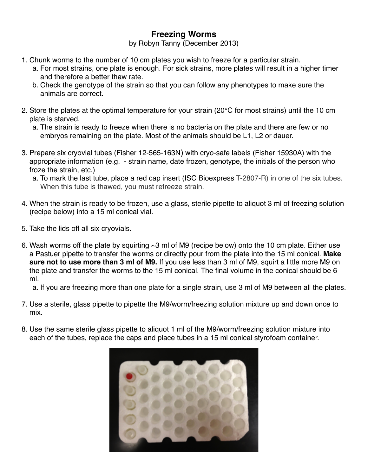# **Freezing Worms**

by Robyn Tanny (December 2013)

- 1. Chunk worms to the number of 10 cm plates you wish to freeze for a particular strain.
	- a. For most strains, one plate is enough. For sick strains, more plates will result in a higher timer and therefore a better thaw rate.
	- b. Check the genotype of the strain so that you can follow any phenotypes to make sure the animals are correct.
- 2. Store the plates at the optimal temperature for your strain (20°C for most strains) until the 10 cm plate is starved.
	- a. The strain is ready to freeze when there is no bacteria on the plate and there are few or no embryos remaining on the plate. Most of the animals should be L1, L2 or dauer.
- 3. Prepare six cryovial tubes (Fisher 12-565-163N) with cryo-safe labels (Fisher 15930A) with the appropriate information (e.g. - strain name, date frozen, genotype, the initials of the person who froze the strain, etc.)
	- a. To mark the last tube, place a red cap insert (ISC Bioexpress T-2807-R) in one of the six tubes. When this tube is thawed, you must refreeze strain.
- 4. When the strain is ready to be frozen, use a glass, sterile pipette to aliquot 3 ml of freezing solution (recipe below) into a 15 ml conical vial.
- 5. Take the lids off all six cryovials.
- 6. Wash worms off the plate by squirting  $\sim$ 3 ml of M9 (recipe below) onto the 10 cm plate. Either use a Pastuer pipette to transfer the worms or directly pour from the plate into the 15 ml conical. **Make sure not to use more than 3 ml of M9.** If you use less than 3 ml of M9, squirt a little more M9 on the plate and transfer the worms to the 15 ml conical. The final volume in the conical should be 6 ml.

a. If you are freezing more than one plate for a single strain, use 3 ml of M9 between all the plates.

- 7. Use a sterile, glass pipette to pipette the M9/worm/freezing solution mixture up and down once to mix.
- 8. Use the same sterile glass pipette to aliquot 1 ml of the M9/worm/freezing solution mixture into each of the tubes, replace the caps and place tubes in a 15 ml conical styrofoam container.

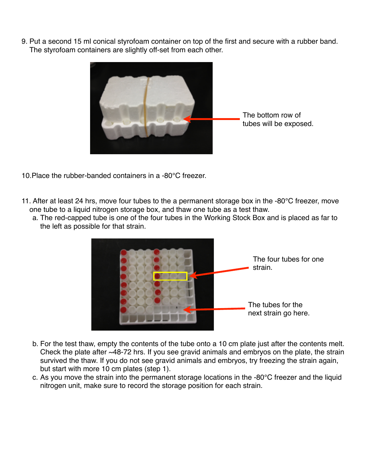9. Put a second 15 ml conical styrofoam container on top of the first and secure with a rubber band. The styrofoam containers are slightly off-set from each other.



- 10.Place the rubber-banded containers in a -80°C freezer.
- 11. After at least 24 hrs, move four tubes to the a permanent storage box in the -80°C freezer, move one tube to a liquid nitrogen storage box, and thaw one tube as a test thaw.
	- a. The red-capped tube is one of the four tubes in the Working Stock Box and is placed as far to the left as possible for that strain.



- b. For the test thaw, empty the contents of the tube onto a 10 cm plate just after the contents melt. Check the plate after ~48-72 hrs. If you see gravid animals and embryos on the plate, the strain survived the thaw. If you do not see gravid animals and embryos, try freezing the strain again, but start with more 10 cm plates (step 1).
- c. As you move the strain into the permanent storage locations in the -80°C freezer and the liquid nitrogen unit, make sure to record the storage position for each strain.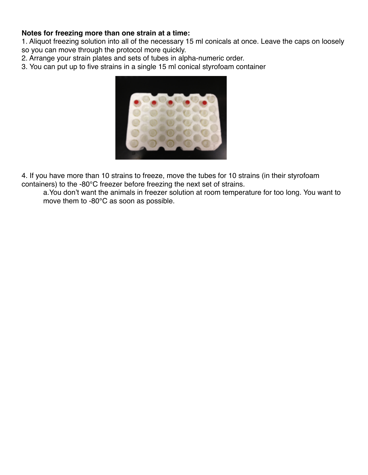#### **Notes for freezing more than one strain at a time:**

1. Aliquot freezing solution into all of the necessary 15 ml conicals at once. Leave the caps on loosely so you can move through the protocol more quickly.

2. Arrange your strain plates and sets of tubes in alpha-numeric order.

3. You can put up to five strains in a single 15 ml conical styrofoam container



4. If you have more than 10 strains to freeze, move the tubes for 10 strains (in their styrofoam containers) to the -80°C freezer before freezing the next set of strains.

a.You don't want the animals in freezer solution at room temperature for too long. You want to move them to -80°C as soon as possible.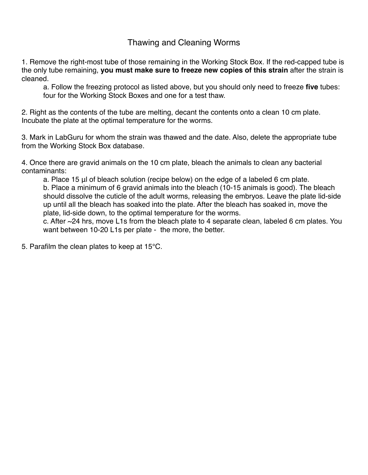## Thawing and Cleaning Worms

1. Remove the right-most tube of those remaining in the Working Stock Box. If the red-capped tube is the only tube remaining, **you must make sure to freeze new copies of this strain** after the strain is cleaned.

a. Follow the freezing protocol as listed above, but you should only need to freeze **five** tubes: four for the Working Stock Boxes and one for a test thaw.

2. Right as the contents of the tube are melting, decant the contents onto a clean 10 cm plate. Incubate the plate at the optimal temperature for the worms.

3. Mark in LabGuru for whom the strain was thawed and the date. Also, delete the appropriate tube from the Working Stock Box database.

4. Once there are gravid animals on the 10 cm plate, bleach the animals to clean any bacterial contaminants:

a. Place 15 μl of bleach solution (recipe below) on the edge of a labeled 6 cm plate.

b. Place a minimum of 6 gravid animals into the bleach (10-15 animals is good). The bleach should dissolve the cuticle of the adult worms, releasing the embryos. Leave the plate lid-side up until all the bleach has soaked into the plate. After the bleach has soaked in, move the plate, lid-side down, to the optimal temperature for the worms.

c. After  $\sim$ 24 hrs, move L1s from the bleach plate to 4 separate clean, labeled 6 cm plates. You want between 10-20 L1s per plate - the more, the better.

5. Parafilm the clean plates to keep at 15°C.